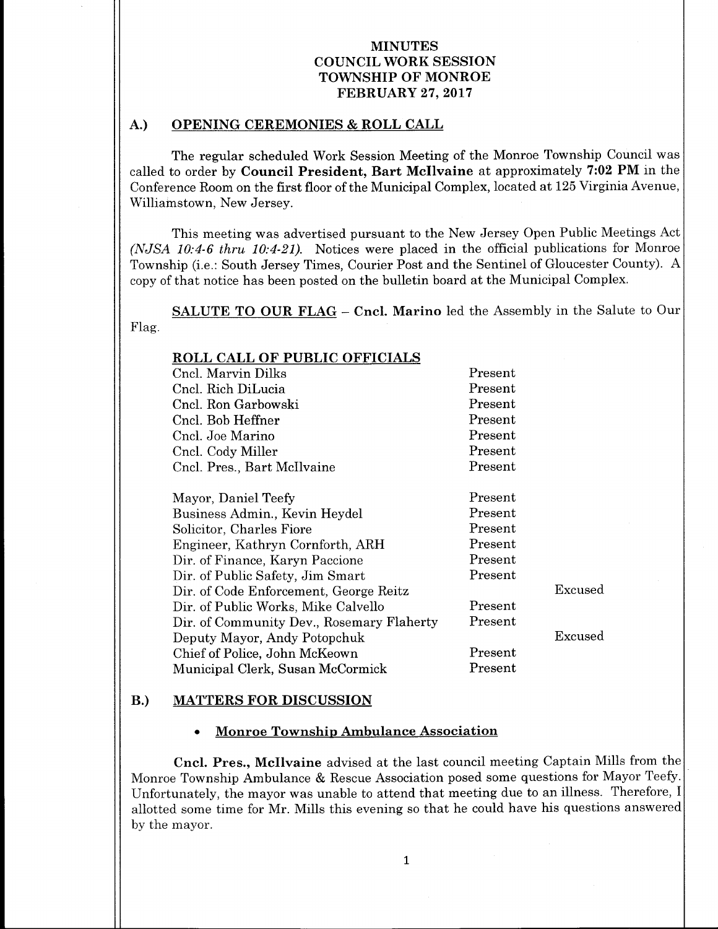### A.) OPENING CEREMONIES & ROLL CALL

The regular scheduled Work Session Meeting of the Monroe Township Council was called to order by Council President, Bart McIlvaine at approximately 7:02 PM in the Conference Room on the first floor of the Municipal Complex, located at 125 Virginia Avenue, Williamstown, New Jersey.

This meeting was advertised pursuant to the New Jersey Open Public Meetings Act (NJSA  $10:4-6$  thru  $10:4-21$ ). Notices were placed in the official publications for Monroe Township (i.e.: South Jersey Times, Courier Post and the Sentinel of Gloucester County). A copy of that notice has been posted on the bulletin board at the Municipal Complex.

SALUTE TO OUR FLAG - Cncl. Marino led the Assembly in the Salute to Our Flag.

| <b>ROLL CALL OF PUBLIC OFFICIALS</b>      |                          |         |
|-------------------------------------------|--------------------------|---------|
| Cncl. Marvin Dilks                        | Present                  |         |
| Cncl. Rich DiLucia                        | Present                  |         |
| Cncl. Ron Garbowski                       | Present                  |         |
| Cncl. Bob Heffner                         | Present                  |         |
| Cncl. Joe Marino                          | Present                  |         |
| Cncl. Cody Miller                         | Present                  |         |
| Cncl. Pres., Bart McIlvaine               | Present                  |         |
|                                           |                          |         |
| Mayor, Daniel Teefy                       | Present                  |         |
| Business Admin., Kevin Heydel             | Present                  |         |
| Solicitor, Charles Fiore                  | Present                  |         |
| Engineer, Kathryn Cornforth, ARH          | Present                  |         |
| Dir. of Finance, Karyn Paccione           | Present                  |         |
| Dir. of Public Safety, Jim Smart          | Present                  |         |
| Dir. of Code Enforcement, George Reitz    |                          | Excused |
| Dir. of Public Works, Mike Calvello       | Present                  |         |
| Dir. of Community Dev., Rosemary Flaherty | $\rm Present$            |         |
| Deputy Mayor, Andy Potopchuk              |                          | Excused |
| Chief of Police, John McKeown             | Present                  |         |
| Municipal Clerk, Susan McCormick          | $\operatorname{Present}$ |         |

#### B.) MATTERS FOR DISCUSSION

#### Monroe Township Ambulance Association

Cncl. Pres., Mcllvaine advised at the last council meeting Captain Mills from the Monroe Township Ambulance & Rescue Association posed some questions for Mayor Teefy. Unfortunately, the mayor was unable to attend that meeting due to an illness. Therefore, I allotted some time for Mr. Mills this evening so that he could have his questions answered by the mayor.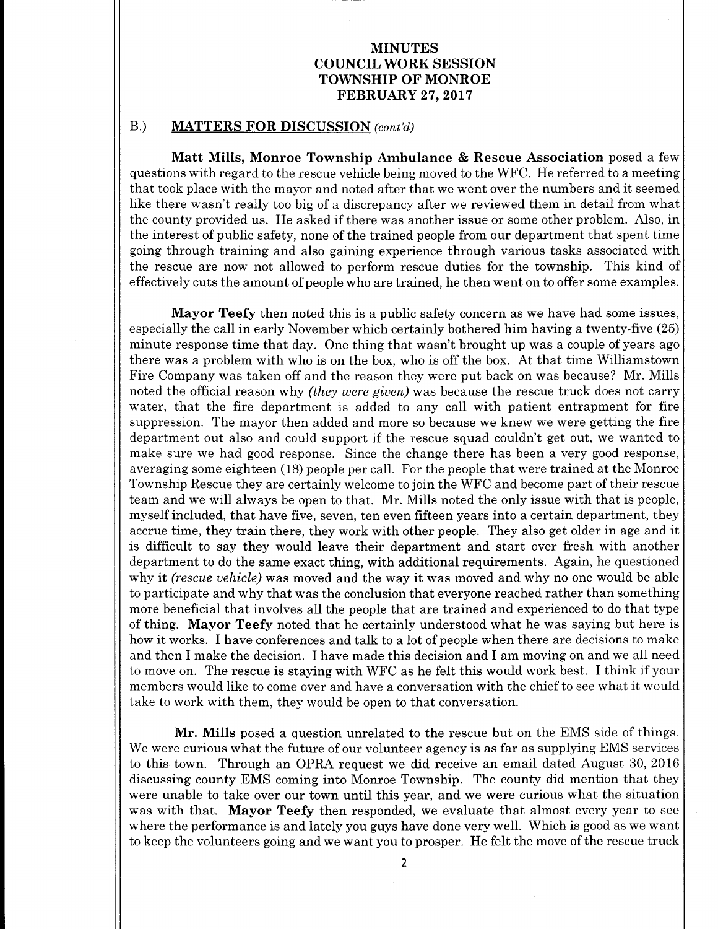#### B.) MATTERS FOR DISCUSSION (cont'd)

Matt Mills, Monroe Township Ambulance & Rescue Association posed <sup>a</sup> few questions with regard to the rescue vehicle being moved to the WFC. He referred to a meeting that took place with the mayor and noted after that we went over the numbers and it seemed like there wasn't really too big of a discrepancy after we reviewed them in detail from what the county provided us. He asked if there was another issue or some other problem. Also, in the interest of public safety, none of the trained people from our department that spent time going through training and also gaining experience through various tasks associated with the rescue are now not allowed to perform rescue duties for the township. This kind of effectively cuts the amount of people who are trained, he then went on to offer some examples.

Mayor Teefy then noted this is <sup>a</sup> public safety concern as we have had some issues, especially the call in early November which certainly bothered him having a twenty-five (25) minute response time that day. One thing that wasn't brought up was <sup>a</sup> couple of years ago there was a problem with who is on the box, who is off the box. At that time Williamstown Fire Company was taken off and the reason they were put back on was because? Mr. Mills noted the official reason why *(they were given)* was because the rescue truck does not carry water, that the fire department is added to any call with patient entrapment for fire suppression. The mayor then added and more so because we knew we were getting the fire department out also and could support if the rescue squad couldn't get out, we wanted to make sure we had good response. Since the change there has been <sup>a</sup> very good response, averaging some eighteen (18) people per call. For the people that were trained at the Monroe Township Rescue they are certainly welcome to join the WFC and become part of their rescue team and we will always be open to that. Mr. Mills noted the only issue with that is people, myself included, that have five, seven, ten even fifteen years into a certain department, they accrue time, they train there, they work with other people. They also get older in age and it is difficult to say they would leave their department and start over fresh with another department to do the same exact thing, with additional requirements. Again, he questioned why it *(rescue vehicle)* was moved and the way it was moved and why no one would be able to participate and why that was the conclusion that everyone reached rather than something more beneficial that involves all the people that are trained and experienced to do that type of thing. Mayor Teefy noted that he certainly understood what he was saying but here is how it works. I have conferences and talk to <sup>a</sup> lot of people when there are decisions to make and then I make the decision. I have made this decision and I am moving on and we all need to move on. The rescue is staying with WFC as he felt this would work best. I think if your members would like to come over and have <sup>a</sup> conversation with the chief to see what it would take to work with them, they would be open to that conversation.

Mr. Mills posed <sup>a</sup> question unrelated to the rescue but on the EMS side of things. We were curious what the future of our volunteer agency is as far as supplying EMS services to this town. Through an OPRA request we did receive an email dated August 30, 2016 discussing county EMS coming into Monroe Township. The county did mention that they were unable to take over our town until this year, and we were curious what the situation was with that. Mayor Teefy then responded, we evaluate that almost every year to see where the performance is and lately you guys have done very well. Which is good as we want to keep the volunteers going and we want you to prosper. He felt the move of the rescue truck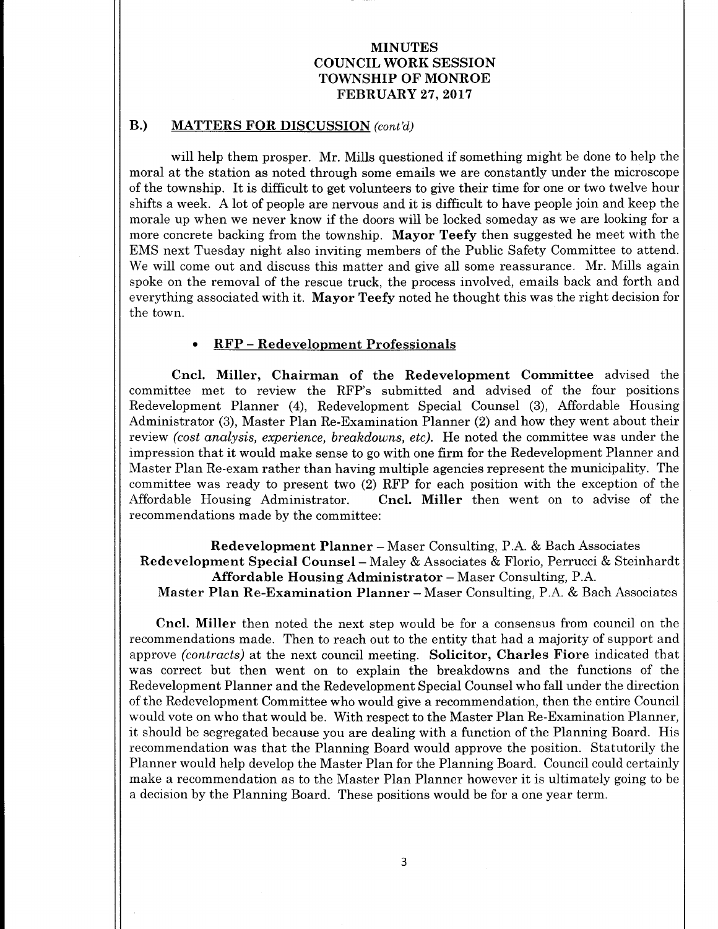### B.) MATTERS FOR DISCUSSION (cont'd)

will help them prosper. Mr. Mills questioned if something might be done to help the moral at the station as noted through some emails we are constantly under the microscope of the township. It is difficult to get volunteers to give their time for one or two twelve hour shifts <sup>a</sup> week. A lot of people are nervous and it is difficult to have people join and keep the morale up when we never know if the doors will be locked someday as we are looking for <sup>a</sup> more concrete backing from the township. Mayor Teefy then suggested he meet with the EMS next Tuesday night also inviting members of the Public Safety Committee to attend. We will come out and discuss this matter and give all some reassurance. Mr. Mills again spoke on the removal of the rescue truck, the process involved, emails back and forth and everything associated with it. **Mayor Teefy** noted he thought this was the right decision for the town.

#### RFP - Redevelopment Professionals

Cncl. Miller, Chairman of the Redevelopment Committee advised the committee met to review the RFP's submitted and advised of the four positions Redevelopment Planner (4), Redevelopment Special Counsel (3), Affordable Housing Administrator (3), Master Plan Re-Examination Planner (2) and how they went about their review *(cost analysis, experience, breakdowns, etc)*. He noted the committee was under the impression that it would make sense to go with one firm for the Redevelopment Planner and Master Plan Re-exam rather than having multiple agencies represent the municipality. The committee was ready to present two (2) RFP for each position with the exception of the Affordable Housing Administrator. Cncl. Miller then went on to advise of the Cncl. Miller then went on to advise of the recommendations made by the committee:

Redevelopment Planner- Maser Consulting, P.A. & Bach Associates Redevelopment Special Counsel- Maley & Associates & Florio, Perrucci & Steinhardt Affordable Housing Administrator- Maser Consulting, P.A. Master Plan Re-Examination Planner- Maser Consulting, P.A. & Bach Associates

Cncl. Miller then noted the next step would be for <sup>a</sup> consensus from council on the recommendations made. Then to reach out to the entity that had <sup>a</sup> majority of support and approve (contracts) at the next council meeting. Solicitor, Charles Fiore indicated that was correct but then went on to explain the breakdowns and the functions of the Redevelopment Planner and the Redevelopment Special Counsel who fall under the direction of the Redevelopment Committee who would give a recommendation, then the entire Council would vote on who that would be. With respect to the Master Plan Re-Examination Planner, it should be segregated because you are dealing with <sup>a</sup> function of the Planning Board. His recommendation was that the Planning Board would approve the position. Statutorily the Planner would help develop the Master Plan for the Planning Board. Council could certainly make <sup>a</sup> recommendation as to the Master Plan Planner however it is ultimately going to be a decision by the Planning Board. These positions would be for a one year term.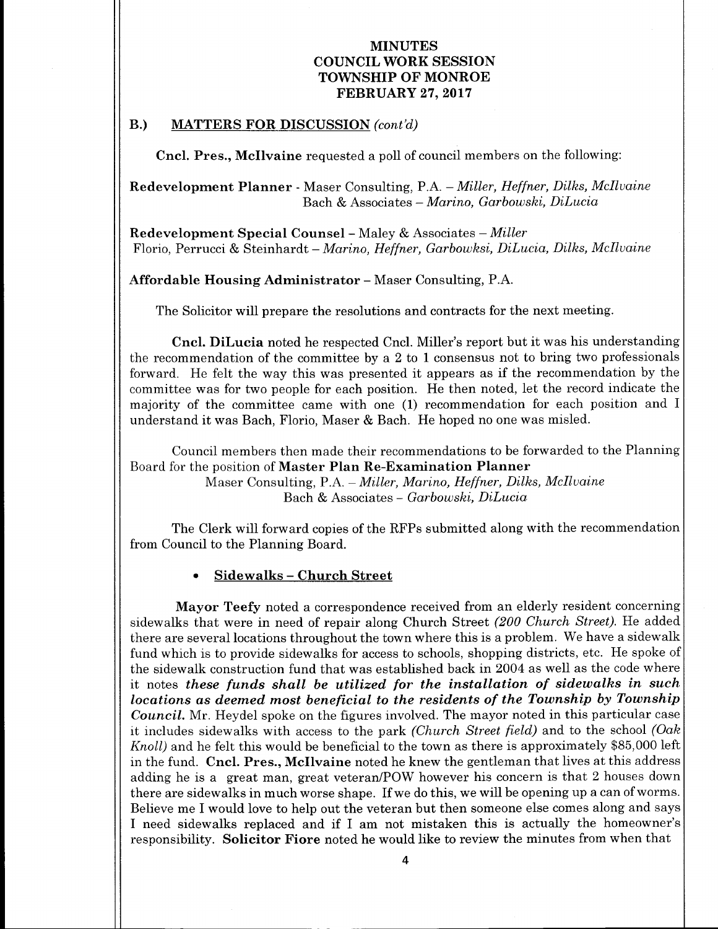## B.) MATTERS FOR DISCUSSION (cont'd)

Cncl. Pres., Mcllvaine requested <sup>a</sup> poll of council members on the following:

Redevelopment Planner - Maser Consulting, P.A. - Miller, Heffner, Dilks, McIlvaine Bach & Associates- Marino, Garbowski, DiLucia

Redevelopment Special Counsel- Maley & Associates - Miller Florio, Perrucci & Steinhardt- Marino, Heffner, Garbowski, DiLucia, Dilks, Mcllvaine

Affordable Housing Administrator- Maser Consulting, P.A.

The Solicitor will prepare the resolutions and contracts for the next meeting.

Cncl. DiLucia noted he respected Cncl. Miller's report but it was his understanding the recommendation of the committee by a 2 to <sup>1</sup> consensus not to bring two professionals forward. He felt the way this was presented it appears as if the recommendation by the committee was for two people for each position. He then noted, let the record indicate the majority of the committee came with one (1) recommendation for each position and I understand it was Bach, Florio, Maser & Bach. He hoped no one was misled.

Council members then made their recommendations to be forwarded to the Planning Board for the position of Master Plan Re-Examination Planner

> Maser Consulting, P.A. - Miller, Marino, Heffner, Dilks, McIlvaine Bach & Associates- Garbowski, DiLucia

The Clerk will forward copies of the RFPs submitted along with the recommendation from Council to the Planning Board.

Sidewalks- Church Street

Mayor Teefy noted a correspondence received from an elderly resident concerning sidewalks that were in need of repair along Church Street (200 Church Street). He added there are several locations throughout the town where this is a problem. We have a sidewalk fund which is to provide sidewalks for access to schools, shopping districts, etc. He spoke of the sidewalk construction fund that was established back in 2004 as well as the code where it notes these funds shall be utilized for the installation of sidewalks in such locations as deemed most beneficial to the residents of the Township by Township Council. Mr. Heydel spoke on the figures involved. The mayor noted in this particular case it includes sidewalks with access to the park (Church Street field) and to the school (Oak Knoll) and he felt this would be beneficial to the town as there is approximately \$85, 000 left in the fund. Cncl. Pres., Mcllvaine noted he knew the gentleman that lives at this address adding he is a great man, great veteran/POW however his concern is that 2 houses down there are sidewalks in much worse shape. If we do this, we will be opening up <sup>a</sup> can of worms. Believe me I would love to help out the veteran but then someone else comes along and says I need sidewalks replaced and if I am not mistaken this is actually the homeowner's responsibility. Solicitor Fiore noted he would like to review the minutes from when that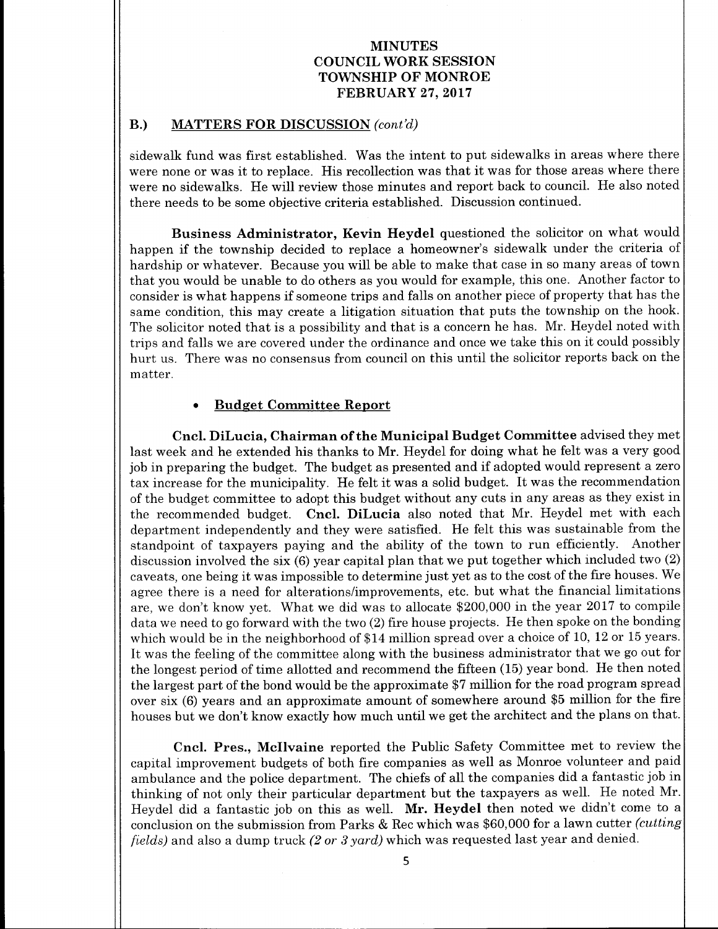#### B.) MATTERS FOR DISCUSSION (cont'd)

sidewalk fund was first established. Was the intent to put sidewalks in areas where there were none or was it to replace. His recollection was that it was for those areas where there were no sidewalks. He will review those minutes and report back to council. He also noted there needs to be some objective criteria established. Discussion continued.

Business Administrator, Kevin Heydel questioned the solicitor on what would happen if the township decided to replace <sup>a</sup> homeowner's sidewalk under the criteria of hardship or whatever. Because you will be able to make that case in so many areas of town that you would be unable to do others as you would for example, this one. Another factor to consider is what happens if someone trips and falls on another piece of property that has the same condition, this may create a litigation situation that puts the township on the hook. The solicitor noted that is <sup>a</sup> possibility and that is <sup>a</sup> concern he has. Mr. Heydel noted with trips and falls we are covered under the ordinance and once we take this on it could possibly hurt us. There was no consensus from council on this until the solicitor reports back on the matter.

#### Budget Committee Report

Cncl. DiLucia, Chairman of the Municipal Budget Committee advised they met last week and he extended his thanks to Mr. Heydel for doing what he felt was a very good job in preparing the budget. The budget as presented and if adopted would represent <sup>a</sup> zero tax increase for the municipality. He felt it was <sup>a</sup> solid budget. It was the recommendation of the budget committee to adopt this budget without any cuts in any areas as they exist in the recommended budget. Cncl. DiLucia also noted that Mr. Heydel met with each department independently and they were satisfied. He felt this was sustainable from the standpoint of taxpayers paying and the ability of the town to run efficiently. Another discussion involved the six (6) year capital plan that we put together which included two (2) caveats, one being it was impossible to determine just yet as to the cost of the fire houses. We agree there is a need for alterations/improvements, etc. but what the financial limitations are, we don't know yet. What we did was to allocate \$200,000 in the year 2017 to compile data we need to go forward with the two (2) fire house projects. He then spoke on the bonding which would be in the neighborhood of \$14 million spread over a choice of 10, 12 or 15 years. It was the feeling of the committee along with the business administrator that we go out for the longest period of time allotted and recommend the fifteen (15) year bond. He then noted the largest part of the bond would be the approximate \$<sup>7</sup> million for the road program spread over six (6) years and an approximate amount of somewhere around \$<sup>5</sup> million for the fire houses but we don't know exactly how much until we get the architect and the plans on that.

Cncl. Pres., Mcllvaine reported the Public Safety Committee met to review the capital improvement budgets of both fire companies as well as Monroe volunteer and paid ambulance and the police department. The chiefs of all the companies did a fantastic job in thinking of not only their particular department but the taxpayers as well. He noted Mr. Heydel did <sup>a</sup> fantastic job on this as well. Mr. Heydel then noted we didn't come to <sup>a</sup> conclusion on the submission from Parks & Rec which was \$60,000 for <sup>a</sup> lawn cutter (cutting fields) and also a dump truck  $(2 \text{ or } 3 \text{ yard})$  which was requested last year and denied.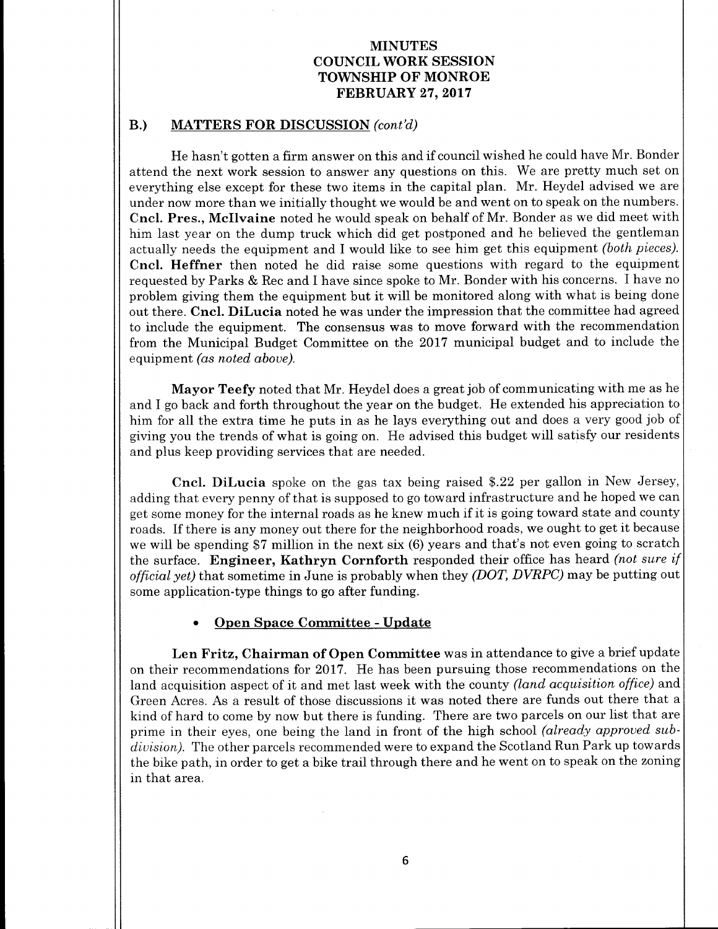### B.) MATTERS FOR DISCUSSION (cont'd)

He hasn't gotten <sup>a</sup> firm answer on this and if council wished he could have Mr. Bonder attend the next work session to answer any questions on this. We are pretty much set on everything else except for these two items in the capital plan. Mr. Heydel advised we are under now more than we initially thought we would be and went on to speak on the numbers. Cncl. Pres., Mcllvaine noted he would speak on behalf of Mr. Bonder as we did meet with him last year on the dump truck which did get postponed and he believed the gentleman actually needs the equipment and I would like to see him get this equipment (both pieces). Cncl. Heffner then noted he did raise some questions with regard to the equipment requested by Parks & Rec and I have since spoke to Mr. Bonder with his concerns. I have no problem giving them the equipment but it will be monitored along with what is being done out there. Cncl. DiLucia noted he was under the impression that the committee had agreed to include the equipment. The consensus was to move forward with the recommendation from the Municipal Budget Committee on the 2017 municipal budget and to include the equipment (as noted above).

Mayor Teefy noted that Mr. Heydel does a great job of communicating with me as he and I go back and forth throughout the year on the budget. He extended his appreciation to him for all the extra time he puts in as he lays everything out and does a very good job of giving you the trends of what is going on. He advised this budget will satisfy our residents and plus keep providing services that are needed.

Cncl. DiLucia spoke on the gas tax being raised \$. <sup>22</sup> per gallon in New Jersey, adding that every penny of that is supposed to go toward infrastructure and he hoped we can get some money for the internal roads as he knew much if it is going toward state and county roads. If there is any money out there for the neighborhood roads, we ought to get it because we will be spending \$7 million in the next six (6) years and that's not even going to scratch the surface. Engineer, Kathryn Cornforth responded their office has heard *(not sure if* official yet) that sometime in June is probably when they (DOT, DVRPC) may be putting out some application-type things to go after funding.

#### Open Space Committee - Update

Len Fritz, Chairman of Open Committee was in attendance to give <sup>a</sup> brief update on their recommendations for 2017. He has been pursuing those recommendations on the land acquisition aspect of it and met last week with the county *(land acquisition office)* and Green Acres. As <sup>a</sup> result of those discussions it was noted there are funds out there that <sup>a</sup> kind of hard to come by now but there is funding. There are two parcels on our list that are prime in their eyes, one being the land in front of the high school (already approved subdivision). The other parcels recommended were to expand the Scotland Run Park up towards the bike path, in order to get a bike trail through there and he went on to speak on the zoning in that area.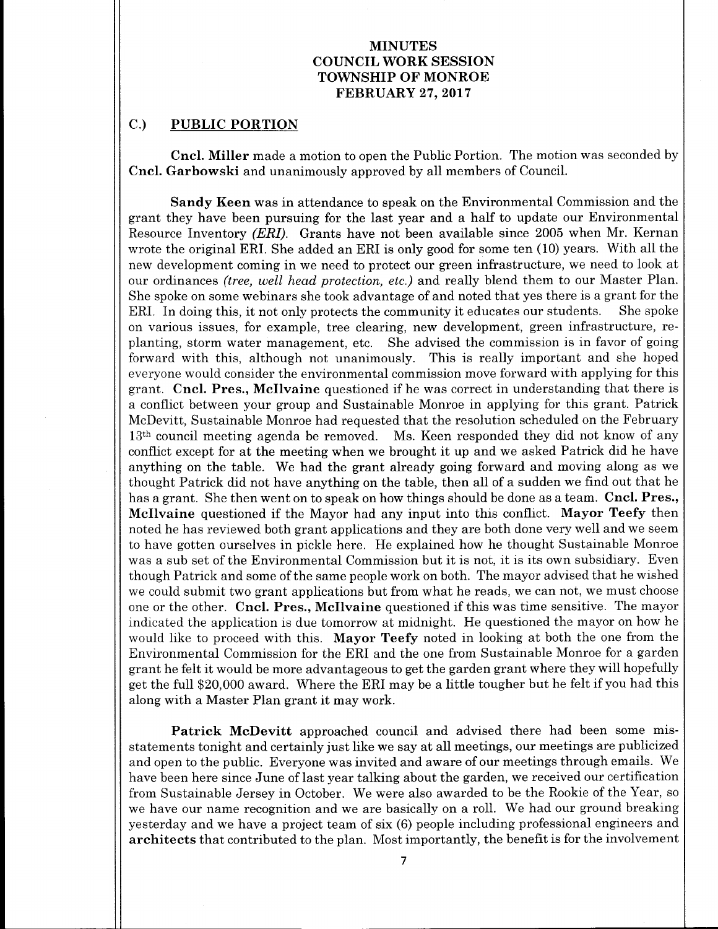## C.) PUBLIC PORTION

Cncl. Miller made <sup>a</sup> motion to open the Public Portion. The motion was seconded by Cncl. Garbowski and unanimously approved by all members of Council.

Sandy Keen was in attendance to speak on the Environmental Commission and the grant they have been pursuing for the last year and a half to update our Environmental Resource Inventory (ERI). Grants have not been available since 2005 when Mr. Kernan wrote the original ERI. She added an ERI is only good for some ten (10) years. With all the new development coming in we need to protect our green infrastructure, we need to look at our ordinances (tree, well head protection, etc.) and really blend them to our Master Plan. She spoke on some webinars she took advantage of and noted that yes there is a grant for the ERI. In doing this, it not only protects the community it educates our students. She spoke on various issues, for example, tree clearing, new development, green infrastructure, replanting, storm water management, etc. She advised the commission is in favor of going forward with this, although not unanimously. This is really important and she hoped everyone would consider the environmental commission move forward with applying for this grant. Cncl. Pres., Mcllvaine questioned if he was correct in understanding that there is a conflict between your group and Sustainable Monroe in applying for this grant. Patrick McDevitt, Sustainable Monroe had requested that the resolution scheduled on the February 13<sup>th</sup> council meeting agenda be removed. Ms. Keen responded they did not know of any conflict except for at the meeting when we brought it up and we asked Patrick did he have anything on the table. We had the grant already going forward and moving along as we thought Patrick did not have anything on the table, then all of a sudden we find out that he has a grant. She then went on to speak on how things should be done as a team. Cncl. Pres., Mcllvaine questioned if the Mayor had any input into this conflict. Mayor Teefy then noted he has reviewed both grant applications and they are both done very well and we seem to have gotten ourselves in pickle here. He explained how he thought Sustainable Monroe was <sup>a</sup> sub set of the Environmental Commission but it is not, it is its own subsidiary. Even though Patrick and some of the same people work on both. The mayor advised that he wished we could submit two grant applications but from what he reads, we can not, we must choose one or the other. Cncl. Pres., Mcllvaine questioned if this was time sensitive. The mayor indicated the application is due tomorrow at midnight. He questioned the mayor on how he would like to proceed with this. Mayor Teefy noted in looking at both the one from the Environmental Commission for the ERI and the one from Sustainable Monroe for a garden grant he felt it would be more advantageous to get the garden grant where they will hopefully get the full \$20, <sup>000</sup> award. Where the ERI may be <sup>a</sup> little tougher but he felt if you had this along with <sup>a</sup> Master Plan grant it may work.

Patrick McDevitt approached council and advised there had been some misstatements tonight and certainly just like we say at all meetings, our meetings are publicized and open to the public. Everyone was invited and aware of our meetings through emails. We have been here since June of last year talking about the garden, we received our certification from Sustainable Jersey in October. We were also awarded to be the Rookie of the Year, so we have our name recognition and we are basically on <sup>a</sup> roll. We had our ground breaking yesterday and we have a project team of six (6) people including professional engineers and architects that contributed to the plan. Most importantly, the benefit is for the involvement